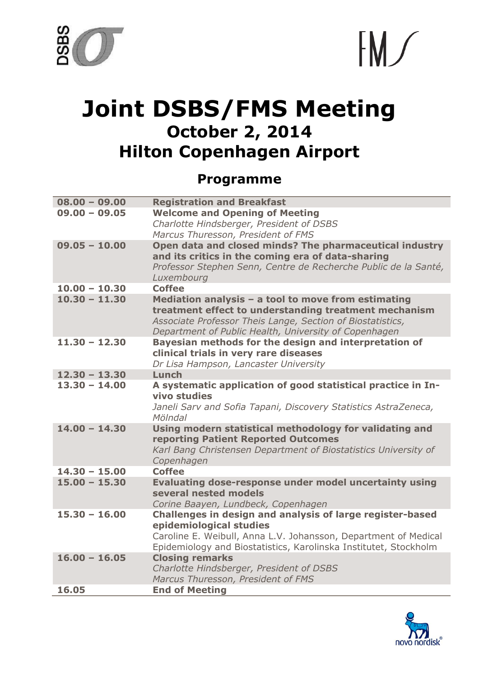



## **Joint DSBS/FMS Meeting October 2, 2014 Hilton Copenhagen Airport**

## **Programme**

| $08.00 - 09.00$ | <b>Registration and Breakfast</b>                                                                                                                                            |
|-----------------|------------------------------------------------------------------------------------------------------------------------------------------------------------------------------|
| $09,00 - 09,05$ | <b>Welcome and Opening of Meeting</b>                                                                                                                                        |
|                 | Charlotte Hindsberger, President of DSBS                                                                                                                                     |
|                 | Marcus Thuresson, President of FMS                                                                                                                                           |
| $09.05 - 10.00$ | Open data and closed minds? The pharmaceutical industry<br>and its critics in the coming era of data-sharing                                                                 |
|                 | Professor Stephen Senn, Centre de Recherche Public de la Santé,<br>Luxembourg                                                                                                |
| $10.00 - 10.30$ | <b>Coffee</b>                                                                                                                                                                |
| $10.30 - 11.30$ | Mediation analysis - a tool to move from estimating                                                                                                                          |
|                 | treatment effect to understanding treatment mechanism<br>Associate Professor Theis Lange, Section of Biostatistics,<br>Department of Public Health, University of Copenhagen |
| $11.30 - 12.30$ | Bayesian methods for the design and interpretation of                                                                                                                        |
|                 | clinical trials in very rare diseases                                                                                                                                        |
|                 | Dr Lisa Hampson, Lancaster University                                                                                                                                        |
| $12.30 - 13.30$ | Lunch                                                                                                                                                                        |
| $13.30 - 14.00$ | A systematic application of good statistical practice in In-<br>vivo studies                                                                                                 |
|                 | Janeli Sarv and Sofia Tapani, Discovery Statistics AstraZeneca,                                                                                                              |
|                 | Mölndal                                                                                                                                                                      |
| $14.00 - 14.30$ | Using modern statistical methodology for validating and                                                                                                                      |
|                 | reporting Patient Reported Outcomes                                                                                                                                          |
|                 | Karl Bang Christensen Department of Biostatistics University of                                                                                                              |
|                 | Copenhagen                                                                                                                                                                   |
| $14.30 - 15.00$ | <b>Coffee</b>                                                                                                                                                                |
| $15.00 - 15.30$ | Evaluating dose-response under model uncertainty using<br>several nested models                                                                                              |
|                 | Corine Baayen, Lundbeck, Copenhagen                                                                                                                                          |
| $15.30 - 16.00$ | Challenges in design and analysis of large register-based                                                                                                                    |
|                 | epidemiological studies                                                                                                                                                      |
|                 | Caroline E. Weibull, Anna L.V. Johansson, Department of Medical                                                                                                              |
|                 | Epidemiology and Biostatistics, Karolinska Institutet, Stockholm                                                                                                             |
| $16.00 - 16.05$ | <b>Closing remarks</b>                                                                                                                                                       |
|                 | Charlotte Hindsberger, President of DSBS                                                                                                                                     |
|                 | Marcus Thuresson, President of FMS                                                                                                                                           |
| 16.05           | <b>End of Meeting</b>                                                                                                                                                        |

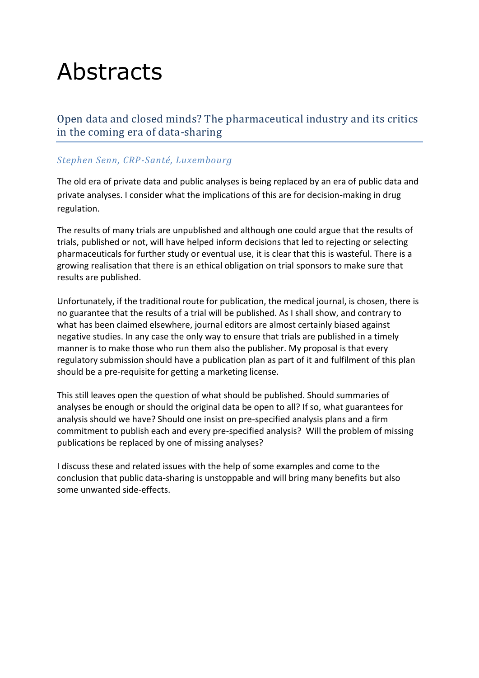# Abstracts

Open data and closed minds? The pharmaceutical industry and its critics in the coming era of data-sharing

#### *Stephen Senn, CRP-Santé, Luxembourg*

The old era of private data and public analyses is being replaced by an era of public data and private analyses. I consider what the implications of this are for decision-making in drug regulation.

The results of many trials are unpublished and although one could argue that the results of trials, published or not, will have helped inform decisions that led to rejecting or selecting pharmaceuticals for further study or eventual use, it is clear that this is wasteful. There is a growing realisation that there is an ethical obligation on trial sponsors to make sure that results are published.

Unfortunately, if the traditional route for publication, the medical journal, is chosen, there is no guarantee that the results of a trial will be published. As I shall show, and contrary to what has been claimed elsewhere, journal editors are almost certainly biased against negative studies. In any case the only way to ensure that trials are published in a timely manner is to make those who run them also the publisher. My proposal is that every regulatory submission should have a publication plan as part of it and fulfilment of this plan should be a pre-requisite for getting a marketing license.

This still leaves open the question of what should be published. Should summaries of analyses be enough or should the original data be open to all? If so, what guarantees for analysis should we have? Should one insist on pre-specified analysis plans and a firm commitment to publish each and every pre-specified analysis? Will the problem of missing publications be replaced by one of missing analyses?

I discuss these and related issues with the help of some examples and come to the conclusion that public data-sharing is unstoppable and will bring many benefits but also some unwanted side-effects.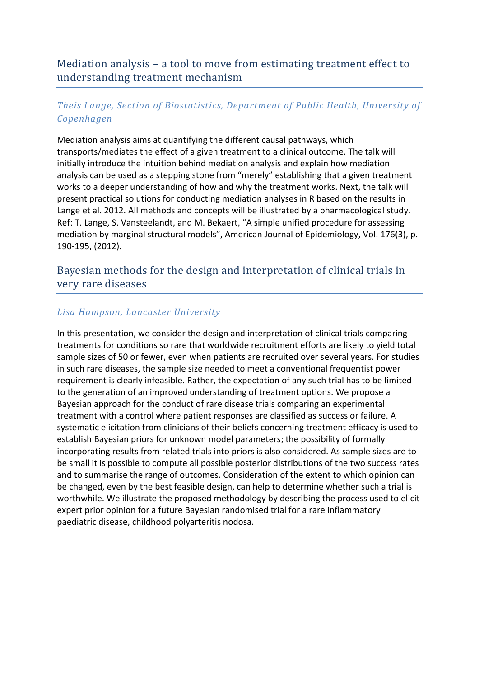## Mediation analysis – a tool to move from estimating treatment effect to understanding treatment mechanism

## *Theis Lange, Section of Biostatistics, Department of Public Health, University of Copenhagen*

Mediation analysis aims at quantifying the different causal pathways, which transports/mediates the effect of a given treatment to a clinical outcome. The talk will initially introduce the intuition behind mediation analysis and explain how mediation analysis can be used as a stepping stone from "merely" establishing that a given treatment works to a deeper understanding of how and why the treatment works. Next, the talk will present practical solutions for conducting mediation analyses in R based on the results in Lange et al. 2012. All methods and concepts will be illustrated by a pharmacological study. Ref: T. Lange, S. Vansteelandt, and M. Bekaert, "A simple unified procedure for assessing mediation by marginal structural models", American Journal of Epidemiology, Vol. 176(3), p. 190-195, (2012).

## Bayesian methods for the design and interpretation of clinical trials in very rare diseases

## *Lisa Hampson, Lancaster University*

In this presentation, we consider the design and interpretation of clinical trials comparing treatments for conditions so rare that worldwide recruitment efforts are likely to yield total sample sizes of 50 or fewer, even when patients are recruited over several years. For studies in such rare diseases, the sample size needed to meet a conventional frequentist power requirement is clearly infeasible. Rather, the expectation of any such trial has to be limited to the generation of an improved understanding of treatment options. We propose a Bayesian approach for the conduct of rare disease trials comparing an experimental treatment with a control where patient responses are classified as success or failure. A systematic elicitation from clinicians of their beliefs concerning treatment efficacy is used to establish Bayesian priors for unknown model parameters; the possibility of formally incorporating results from related trials into priors is also considered. As sample sizes are to be small it is possible to compute all possible posterior distributions of the two success rates and to summarise the range of outcomes. Consideration of the extent to which opinion can be changed, even by the best feasible design, can help to determine whether such a trial is worthwhile. We illustrate the proposed methodology by describing the process used to elicit expert prior opinion for a future Bayesian randomised trial for a rare inflammatory paediatric disease, childhood polyarteritis nodosa.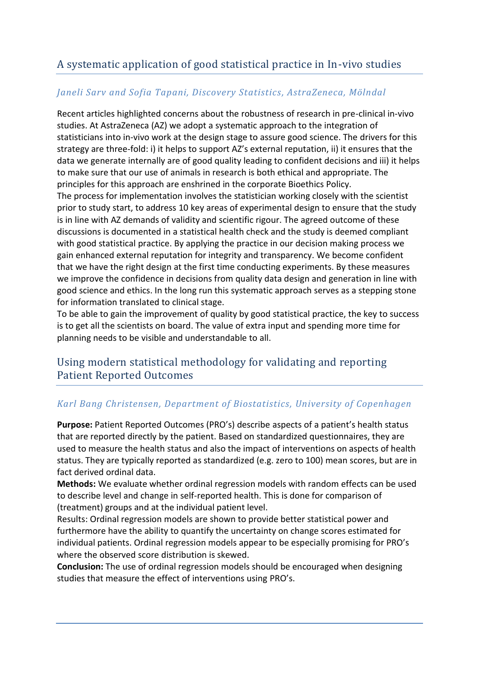## A systematic application of good statistical practice in In-vivo studies

### *Janeli Sarv and Sofia Tapani, Discovery Statistics, AstraZeneca, Mölndal*

Recent articles highlighted concerns about the robustness of research in pre-clinical in-vivo studies. At AstraZeneca (AZ) we adopt a systematic approach to the integration of statisticians into in-vivo work at the design stage to assure good science. The drivers for this strategy are three-fold: i) it helps to support AZ's external reputation, ii) it ensures that the data we generate internally are of good quality leading to confident decisions and iii) it helps to make sure that our use of animals in research is both ethical and appropriate. The principles for this approach are enshrined in the corporate Bioethics Policy.

The process for implementation involves the statistician working closely with the scientist prior to study start, to address 10 key areas of experimental design to ensure that the study is in line with AZ demands of validity and scientific rigour. The agreed outcome of these discussions is documented in a statistical health check and the study is deemed compliant with good statistical practice. By applying the practice in our decision making process we gain enhanced external reputation for integrity and transparency. We become confident that we have the right design at the first time conducting experiments. By these measures we improve the confidence in decisions from quality data design and generation in line with good science and ethics. In the long run this systematic approach serves as a stepping stone for information translated to clinical stage.

To be able to gain the improvement of quality by good statistical practice, the key to success is to get all the scientists on board. The value of extra input and spending more time for planning needs to be visible and understandable to all.

## Using modern statistical methodology for validating and reporting Patient Reported Outcomes

#### *Karl Bang Christensen, Department of Biostatistics, University of Copenhagen*

**Purpose:** Patient Reported Outcomes (PRO's) describe aspects of a patient's health status that are reported directly by the patient. Based on standardized questionnaires, they are used to measure the health status and also the impact of interventions on aspects of health status. They are typically reported as standardized (e.g. zero to 100) mean scores, but are in fact derived ordinal data.

**Methods:** We evaluate whether ordinal regression models with random effects can be used to describe level and change in self-reported health. This is done for comparison of (treatment) groups and at the individual patient level.

Results: Ordinal regression models are shown to provide better statistical power and furthermore have the ability to quantify the uncertainty on change scores estimated for individual patients. Ordinal regression models appear to be especially promising for PRO's where the observed score distribution is skewed.

**Conclusion:** The use of ordinal regression models should be encouraged when designing studies that measure the effect of interventions using PRO's.